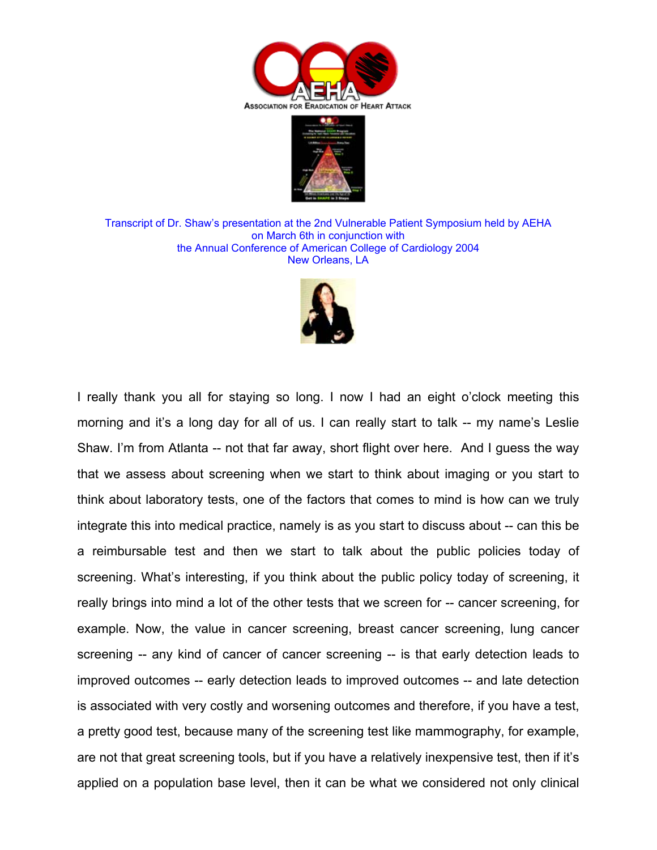



Transcript of Dr. Shaw's presentation at the 2nd Vulnerable Patient Symposium held by AEHA on March 6th in conjunction with the Annual Conference of American College of Cardiology 2004 New Orleans, LA



I really thank you all for staying so long. I now I had an eight o'clock meeting this morning and it's a long day for all of us. I can really start to talk -- my name's Leslie Shaw. I'm from Atlanta -- not that far away, short flight over here. And I guess the way that we assess about screening when we start to think about imaging or you start to think about laboratory tests, one of the factors that comes to mind is how can we truly integrate this into medical practice, namely is as you start to discuss about -- can this be a reimbursable test and then we start to talk about the public policies today of screening. What's interesting, if you think about the public policy today of screening, it really brings into mind a lot of the other tests that we screen for -- cancer screening, for example. Now, the value in cancer screening, breast cancer screening, lung cancer screening -- any kind of cancer of cancer screening -- is that early detection leads to improved outcomes -- early detection leads to improved outcomes -- and late detection is associated with very costly and worsening outcomes and therefore, if you have a test, a pretty good test, because many of the screening test like mammography, for example, are not that great screening tools, but if you have a relatively inexpensive test, then if it's applied on a population base level, then it can be what we considered not only clinical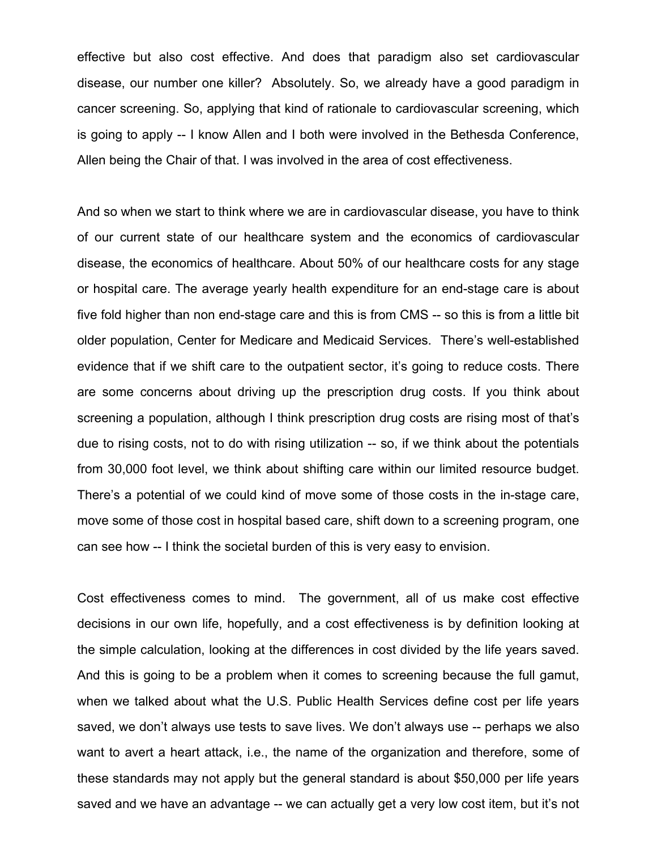effective but also cost effective. And does that paradigm also set cardiovascular disease, our number one killer? Absolutely. So, we already have a good paradigm in cancer screening. So, applying that kind of rationale to cardiovascular screening, which is going to apply -- I know Allen and I both were involved in the Bethesda Conference, Allen being the Chair of that. I was involved in the area of cost effectiveness.

And so when we start to think where we are in cardiovascular disease, you have to think of our current state of our healthcare system and the economics of cardiovascular disease, the economics of healthcare. About 50% of our healthcare costs for any stage or hospital care. The average yearly health expenditure for an end-stage care is about five fold higher than non end-stage care and this is from CMS -- so this is from a little bit older population, Center for Medicare and Medicaid Services. There's well-established evidence that if we shift care to the outpatient sector, it's going to reduce costs. There are some concerns about driving up the prescription drug costs. If you think about screening a population, although I think prescription drug costs are rising most of that's due to rising costs, not to do with rising utilization -- so, if we think about the potentials from 30,000 foot level, we think about shifting care within our limited resource budget. There's a potential of we could kind of move some of those costs in the in-stage care, move some of those cost in hospital based care, shift down to a screening program, one can see how -- I think the societal burden of this is very easy to envision.

Cost effectiveness comes to mind. The government, all of us make cost effective decisions in our own life, hopefully, and a cost effectiveness is by definition looking at the simple calculation, looking at the differences in cost divided by the life years saved. And this is going to be a problem when it comes to screening because the full gamut, when we talked about what the U.S. Public Health Services define cost per life years saved, we don't always use tests to save lives. We don't always use -- perhaps we also want to avert a heart attack, i.e., the name of the organization and therefore, some of these standards may not apply but the general standard is about \$50,000 per life years saved and we have an advantage -- we can actually get a very low cost item, but it's not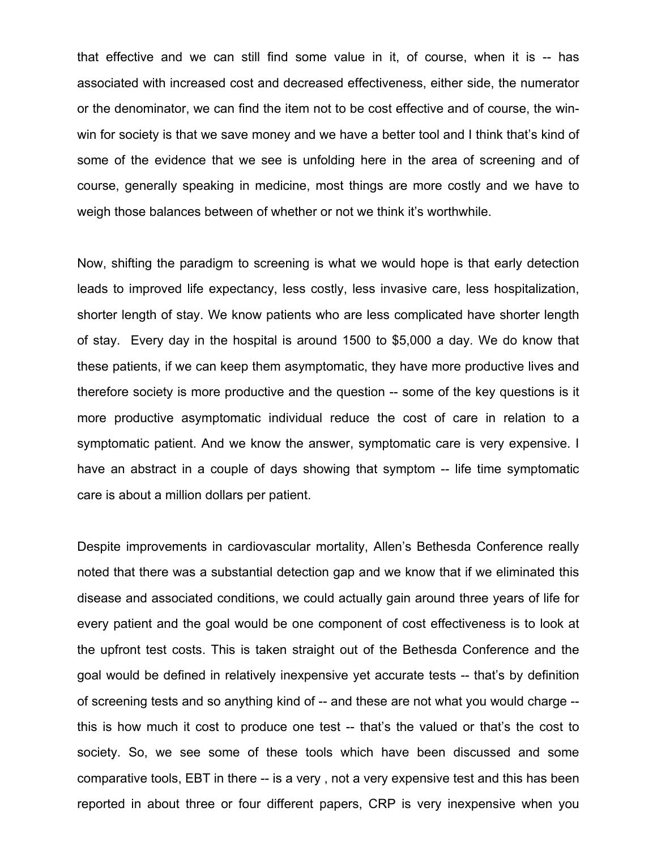that effective and we can still find some value in it, of course, when it is -- has associated with increased cost and decreased effectiveness, either side, the numerator or the denominator, we can find the item not to be cost effective and of course, the winwin for society is that we save money and we have a better tool and I think that's kind of some of the evidence that we see is unfolding here in the area of screening and of course, generally speaking in medicine, most things are more costly and we have to weigh those balances between of whether or not we think it's worthwhile.

Now, shifting the paradigm to screening is what we would hope is that early detection leads to improved life expectancy, less costly, less invasive care, less hospitalization, shorter length of stay. We know patients who are less complicated have shorter length of stay. Every day in the hospital is around 1500 to \$5,000 a day. We do know that these patients, if we can keep them asymptomatic, they have more productive lives and therefore society is more productive and the question -- some of the key questions is it more productive asymptomatic individual reduce the cost of care in relation to a symptomatic patient. And we know the answer, symptomatic care is very expensive. I have an abstract in a couple of days showing that symptom -- life time symptomatic care is about a million dollars per patient.

Despite improvements in cardiovascular mortality, Allen's Bethesda Conference really noted that there was a substantial detection gap and we know that if we eliminated this disease and associated conditions, we could actually gain around three years of life for every patient and the goal would be one component of cost effectiveness is to look at the upfront test costs. This is taken straight out of the Bethesda Conference and the goal would be defined in relatively inexpensive yet accurate tests -- that's by definition of screening tests and so anything kind of -- and these are not what you would charge - this is how much it cost to produce one test -- that's the valued or that's the cost to society. So, we see some of these tools which have been discussed and some comparative tools, EBT in there -- is a very , not a very expensive test and this has been reported in about three or four different papers, CRP is very inexpensive when you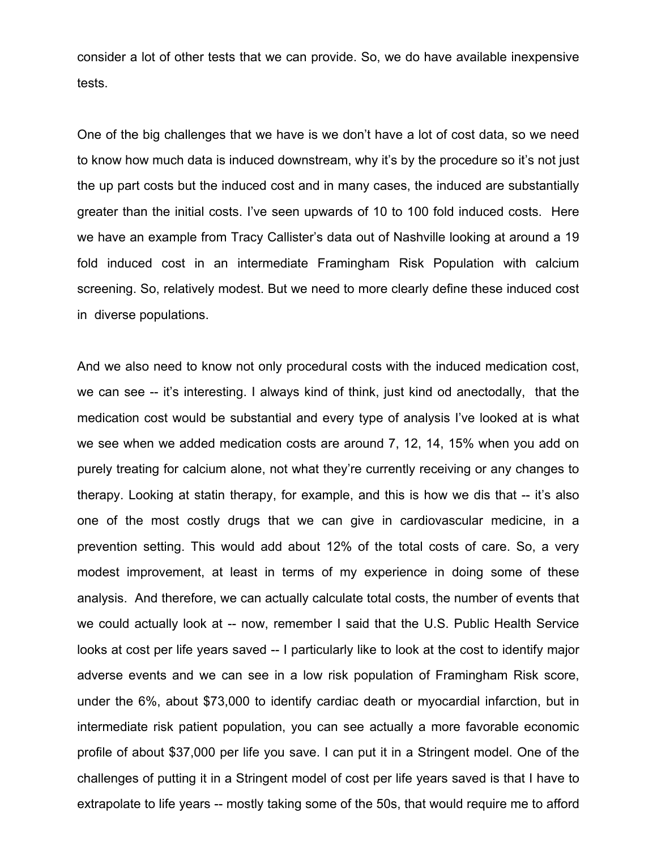consider a lot of other tests that we can provide. So, we do have available inexpensive tests.

One of the big challenges that we have is we don't have a lot of cost data, so we need to know how much data is induced downstream, why it's by the procedure so it's not just the up part costs but the induced cost and in many cases, the induced are substantially greater than the initial costs. I've seen upwards of 10 to 100 fold induced costs. Here we have an example from Tracy Callister's data out of Nashville looking at around a 19 fold induced cost in an intermediate Framingham Risk Population with calcium screening. So, relatively modest. But we need to more clearly define these induced cost in diverse populations.

And we also need to know not only procedural costs with the induced medication cost, we can see -- it's interesting. I always kind of think, just kind od anectodally, that the medication cost would be substantial and every type of analysis I've looked at is what we see when we added medication costs are around 7, 12, 14, 15% when you add on purely treating for calcium alone, not what they're currently receiving or any changes to therapy. Looking at statin therapy, for example, and this is how we dis that -- it's also one of the most costly drugs that we can give in cardiovascular medicine, in a prevention setting. This would add about 12% of the total costs of care. So, a very modest improvement, at least in terms of my experience in doing some of these analysis. And therefore, we can actually calculate total costs, the number of events that we could actually look at -- now, remember I said that the U.S. Public Health Service looks at cost per life years saved -- I particularly like to look at the cost to identify major adverse events and we can see in a low risk population of Framingham Risk score, under the 6%, about \$73,000 to identify cardiac death or myocardial infarction, but in intermediate risk patient population, you can see actually a more favorable economic profile of about \$37,000 per life you save. I can put it in a Stringent model. One of the challenges of putting it in a Stringent model of cost per life years saved is that I have to extrapolate to life years -- mostly taking some of the 50s, that would require me to afford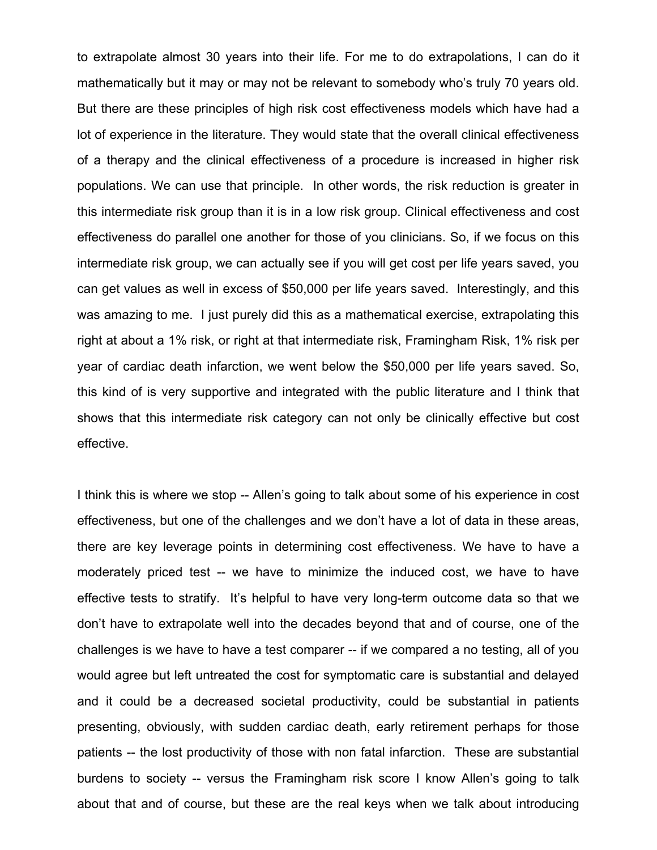to extrapolate almost 30 years into their life. For me to do extrapolations, I can do it mathematically but it may or may not be relevant to somebody who's truly 70 years old. But there are these principles of high risk cost effectiveness models which have had a lot of experience in the literature. They would state that the overall clinical effectiveness of a therapy and the clinical effectiveness of a procedure is increased in higher risk populations. We can use that principle. In other words, the risk reduction is greater in this intermediate risk group than it is in a low risk group. Clinical effectiveness and cost effectiveness do parallel one another for those of you clinicians. So, if we focus on this intermediate risk group, we can actually see if you will get cost per life years saved, you can get values as well in excess of \$50,000 per life years saved. Interestingly, and this was amazing to me. I just purely did this as a mathematical exercise, extrapolating this right at about a 1% risk, or right at that intermediate risk, Framingham Risk, 1% risk per year of cardiac death infarction, we went below the \$50,000 per life years saved. So, this kind of is very supportive and integrated with the public literature and I think that shows that this intermediate risk category can not only be clinically effective but cost effective.

I think this is where we stop -- Allen's going to talk about some of his experience in cost effectiveness, but one of the challenges and we don't have a lot of data in these areas, there are key leverage points in determining cost effectiveness. We have to have a moderately priced test -- we have to minimize the induced cost, we have to have effective tests to stratify. It's helpful to have very long-term outcome data so that we don't have to extrapolate well into the decades beyond that and of course, one of the challenges is we have to have a test comparer -- if we compared a no testing, all of you would agree but left untreated the cost for symptomatic care is substantial and delayed and it could be a decreased societal productivity, could be substantial in patients presenting, obviously, with sudden cardiac death, early retirement perhaps for those patients -- the lost productivity of those with non fatal infarction. These are substantial burdens to society -- versus the Framingham risk score I know Allen's going to talk about that and of course, but these are the real keys when we talk about introducing